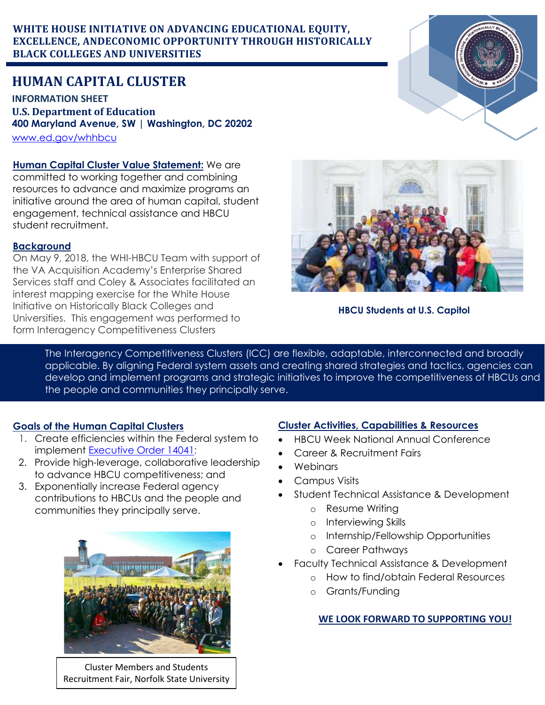### **WHITE HOUSE INITIATIVE ON ADVANCING EDUCATIONAL EQUITY, EXCELLENCE, ANDECONOMIC OPPORTUNITY THROUGH HISTORICALLY BLACK COLLEGES AND UNIVERSITIES**

# **HUMAN CAPITAL CLUSTER**

**INFORMATION SHEET U.S. Department of Education 400 Maryland Avenue, SW | Washington, DC 20202** [www.ed.gov/whhbcu](http://www.ed.gov/whhbcu)

**Human Capital Cluster Value Statement:** We are committed to working together and combining resources to advance and maximize programs an initiative around the area of human capital, student engagement, technical assistance and HBCU student recruitment.

### **Background**

On May 9, 2018, the WHI-HBCU Team with support of the VA Acquisition Academy's Enterprise Shared Services staff and Coley & Associates facilitated an interest mapping exercise for the White House Initiative on Historically Black Colleges and Universities. This engagement was performed to form Interagency Competitiveness Clusters



## **HBCU Students at U.S. Capitol**

The Interagency Competitiveness Clusters (ICC) are flexible, adaptable, interconnected and broadly applicable. By aligning Federal system assets and creating shared strategies and tactics, agencies can develop and implement programs and strategic initiatives to improve the competitiveness of HBCUs and the people and communities they principally serve.

## **Goals of the Human Capital Clusters**

- 1. Create efficiencies within the Federal system to implement [Executive Order 14041;](https://www.govinfo.gov/content/pkg/FR-2021-09-09/pdf/2021-19579.pdf)
- 2. Provide high-leverage, collaborative leadership to advance HBCU competitiveness; and
- 3. Exponentially increase Federal agency contributions to HBCUs and the people and communities they principally serve.



Cluster Members and Students Recruitment Fair, Norfolk State University

## **Cluster Activities, Capabilities & Resources**

- HBCU Week National Annual Conference
- Career & Recruitment Fairs
- Webinars
- Campus Visits
- Student Technical Assistance & Development
	- o Resume Writing
	- o Interviewing Skills
	- o Internship/Fellowship Opportunities
	- o Career Pathways
- Faculty Technical Assistance & Development
	- o How to find/obtain Federal Resources
	- o Grants/Funding

### **WE LOOK FORWARD TO SUPPORTING YOU!**